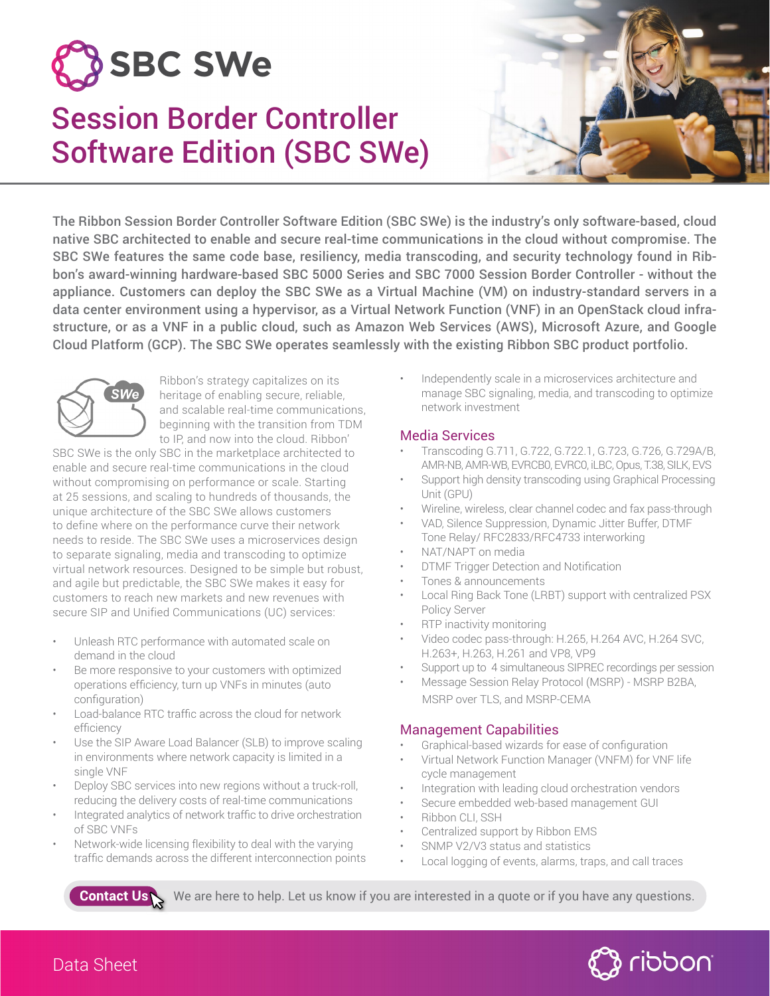# **SBC SWe**

# Session Border Controller Software Edition (SBC SWe)



The Ribbon Session Border Controller Software Edition (SBC SWe) is the industry's only software-based, cloud native SBC architected to enable and secure real-time communications in the cloud without compromise. The SBC SWe features the same code base, resiliency, media transcoding, and security technology found in Ribbon's award-winning hardware-based SBC 5000 Series and SBC 7000 Session Border Controller - without the appliance. Customers can deploy the SBC SWe as a Virtual Machine (VM) on industry-standard servers in a data center environment using a hypervisor, as a Virtual Network Function (VNF) in an OpenStack cloud infrastructure, or as a VNF in a public cloud, such as Amazon Web Services (AWS), Microsoft Azure, and Google Cloud Platform (GCP). The SBC SWe operates seamlessly with the existing Ribbon SBC product portfolio.



Ribbon's strategy capitalizes on its heritage of enabling secure, reliable, and scalable real-time communications, beginning with the transition from TDM to IP, and now into the cloud. Ribbon'

SBC SWe is the only SBC in the marketplace architected to enable and secure real-time communications in the cloud without compromising on performance or scale. Starting at 25 sessions, and scaling to hundreds of thousands, the unique architecture of the SBC SWe allows customers to define where on the performance curve their network needs to reside. The SBC SWe uses a microservices design to separate signaling, media and transcoding to optimize virtual network resources. Designed to be simple but robust, and agile but predictable, the SBC SWe makes it easy for customers to reach new markets and new revenues with secure SIP and Unified Communications (UC) services:

- Unleash RTC performance with automated scale on demand in the cloud
- Be more responsive to your customers with optimized operations efficiency, turn up VNFs in minutes (auto configuration)
- Load-balance RTC traffic across the cloud for network efficiency
- Use the SIP Aware Load Balancer (SLB) to improve scaling in environments where network capacity is limited in a single VNF
- Deploy SBC services into new regions without a truck-roll, reducing the delivery costs of real-time communications
- Integrated analytics of network traffic to drive orchestration of SBC VNFs
- Network-wide licensing flexibility to deal with the varying traffic demands across the different interconnection points

• Independently scale in a microservices architecture and manage SBC signaling, media, and transcoding to optimize network investment

# Media Services

- Transcoding G.711, G.722, G.722.1, G.723, G.726, G.729A/B, AMR-NB, AMR-WB, EVRCB0, EVRC0, iLBC,Opus, T.38, SILK, EVS
- Support high density transcoding using Graphical Processing Unit (GPU)
- Wireline, wireless, clear channel codec and fax pass-through
- VAD, Silence Suppression, Dynamic Jitter Buffer, DTMF Tone Relay/ RFC2833/RFC4733 interworking
- NAT/NAPT on media
- **DTMF Trigger Detection and Notification**
- Tones & announcements
- Local Ring Back Tone (LRBT) support with centralized PSX Policy Server
- RTP inactivity monitoring
- Video codec pass-through: H.265, H.264 AVC, H.264 SVC, H.263+, H.263, H.261 and VP8, VP9
- Support up to 4 simultaneous SIPREC recordings per session
- Message Session Relay Protocol (MSRP) MSRP B2BA, MSRP over TLS, and MSRP-CEMA

# Management Capabilities

- Graphical-based wizards for ease of configuration
- Virtual Network Function Manager (VNFM) for VNF life cycle management
- Integration with leading cloud orchestration vendors
- Secure embedded web-based management GUI
- Ribbon CLI, SSH
- Centralized support by Ribbon EMS
- SNMP V2/V3 status and statistics
- Local logging of events, alarms, traps, and call traces

Contact Us We are here to help. Let us know if you are interested in a quote or if you have any questions.